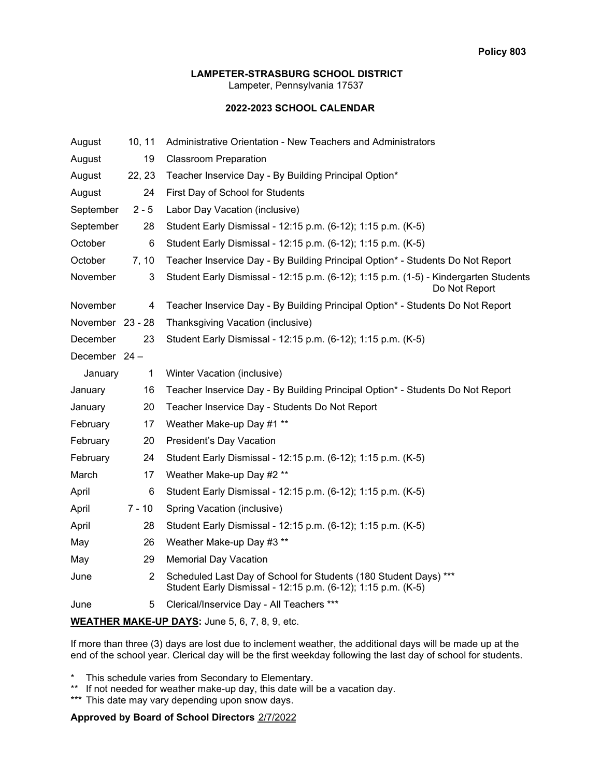### **LAMPETER-STRASBURG SCHOOL DISTRICT**

Lampeter, Pennsylvania 17537

## **2022-2023 SCHOOL CALENDAR**

| August           | 10, 11         | Administrative Orientation - New Teachers and Administrators                                                                     |
|------------------|----------------|----------------------------------------------------------------------------------------------------------------------------------|
| August           | 19             | <b>Classroom Preparation</b>                                                                                                     |
| August           | 22, 23         | Teacher Inservice Day - By Building Principal Option*                                                                            |
| August           | 24             | First Day of School for Students                                                                                                 |
| September        | $2 - 5$        | Labor Day Vacation (inclusive)                                                                                                   |
| September        | 28             | Student Early Dismissal - 12:15 p.m. (6-12); 1:15 p.m. (K-5)                                                                     |
| October          | 6              | Student Early Dismissal - 12:15 p.m. (6-12); 1:15 p.m. (K-5)                                                                     |
| October          | 7, 10          | Teacher Inservice Day - By Building Principal Option* - Students Do Not Report                                                   |
| November         | 3              | Student Early Dismissal - 12:15 p.m. (6-12); 1:15 p.m. (1-5) - Kindergarten Students<br>Do Not Report                            |
| November         | 4              | Teacher Inservice Day - By Building Principal Option* - Students Do Not Report                                                   |
| November 23 - 28 |                | Thanksgiving Vacation (inclusive)                                                                                                |
| December         | 23             | Student Early Dismissal - 12:15 p.m. (6-12); 1:15 p.m. (K-5)                                                                     |
| December 24 -    |                |                                                                                                                                  |
| January          | $\mathbf{1}$   | Winter Vacation (inclusive)                                                                                                      |
| January          | 16             | Teacher Inservice Day - By Building Principal Option* - Students Do Not Report                                                   |
| January          | 20             | Teacher Inservice Day - Students Do Not Report                                                                                   |
| February         | 17             | Weather Make-up Day #1 **                                                                                                        |
| February         | 20             | President's Day Vacation                                                                                                         |
| February         | 24             | Student Early Dismissal - 12:15 p.m. (6-12); 1:15 p.m. (K-5)                                                                     |
| March            | 17             | Weather Make-up Day #2 **                                                                                                        |
| April            | 6              | Student Early Dismissal - 12:15 p.m. (6-12); 1:15 p.m. (K-5)                                                                     |
| April            | $7 - 10$       | Spring Vacation (inclusive)                                                                                                      |
| April            | 28             | Student Early Dismissal - 12:15 p.m. (6-12); 1:15 p.m. (K-5)                                                                     |
| May              | 26             | Weather Make-up Day #3 **                                                                                                        |
| May              | 29             | <b>Memorial Day Vacation</b>                                                                                                     |
| June             | $\overline{2}$ | Scheduled Last Day of School for Students (180 Student Days) ***<br>Student Early Dismissal - 12:15 p.m. (6-12); 1:15 p.m. (K-5) |
| June             | 5              | Clerical/Inservice Day - All Teachers ***                                                                                        |
|                  |                | $\cdots$                                                                                                                         |

**WEATHER MAKE-UP DAYS:** June 5, 6, 7, 8, 9, etc.

If more than three (3) days are lost due to inclement weather, the additional days will be made up at the end of the school year. Clerical day will be the first weekday following the last day of school for students.

This schedule varies from Secondary to Elementary.

- \*\* If not needed for weather make-up day, this date will be a vacation day.
- \*\*\* This date may vary depending upon snow days.

# Approved by Board of School Directors 2/7/2022